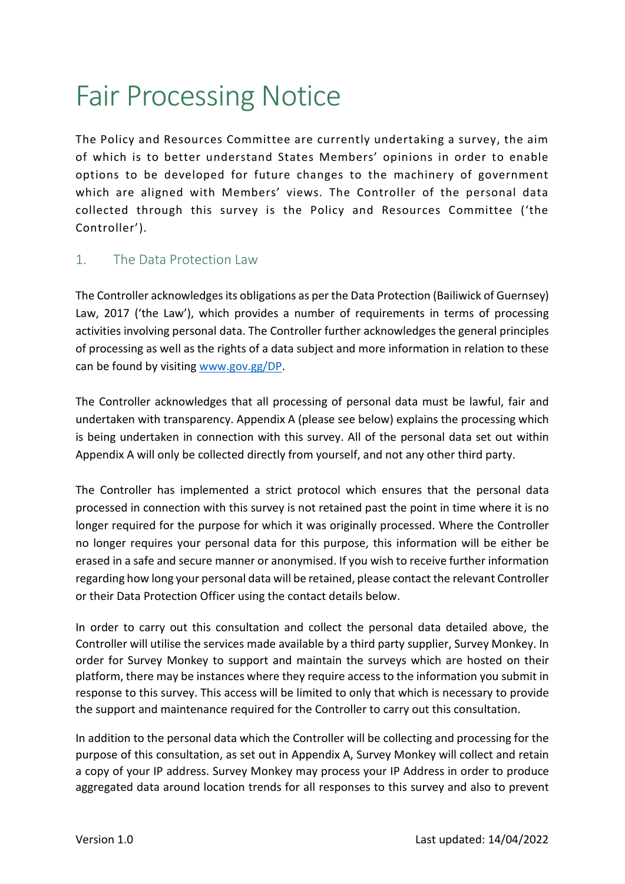# Fair Processing Notice

The Policy and Resources Committee are currently undertaking a survey, the aim of which is to better understand States Members' opinions in order to enable options to be developed for future changes to the machinery of government which are aligned with Members' views. The Controller of the personal data collected through this survey is the Policy and Resources Committee ('the Controller').

## 1. The Data Protection Law

The Controller acknowledges its obligations as per the Data Protection (Bailiwick of Guernsey) Law, 2017 ('the Law'), which provides a number of requirements in terms of processing activities involving personal data. The Controller further acknowledges the general principles of processing as well as the rights of a data subject and more information in relation to these can be found by visiting www.gov.gg/DP.

The Controller acknowledges that all processing of personal data must be lawful, fair and undertaken with transparency. Appendix A (please see below) explains the processing which is being undertaken in connection with this survey. All of the personal data set out within Appendix A will only be collected directly from yourself, and not any other third party.

The Controller has implemented a strict protocol which ensures that the personal data processed in connection with this survey is not retained past the point in time where it is no longer required for the purpose for which it was originally processed. Where the Controller no longer requires your personal data for this purpose, this information will be either be erased in a safe and secure manner or anonymised. If you wish to receive further information regarding how long your personal data will be retained, please contact the relevant Controller or their Data Protection Officer using the contact details below.

In order to carry out this consultation and collect the personal data detailed above, the Controller will utilise the services made available by a third party supplier, Survey Monkey. In order for Survey Monkey to support and maintain the surveys which are hosted on their platform, there may be instances where they require access to the information you submit in response to this survey. This access will be limited to only that which is necessary to provide the support and maintenance required for the Controller to carry out this consultation.

In addition to the personal data which the Controller will be collecting and processing for the purpose of this consultation, as set out in Appendix A, Survey Monkey will collect and retain a copy of your IP address. Survey Monkey may process your IP Address in order to produce aggregated data around location trends for all responses to this survey and also to prevent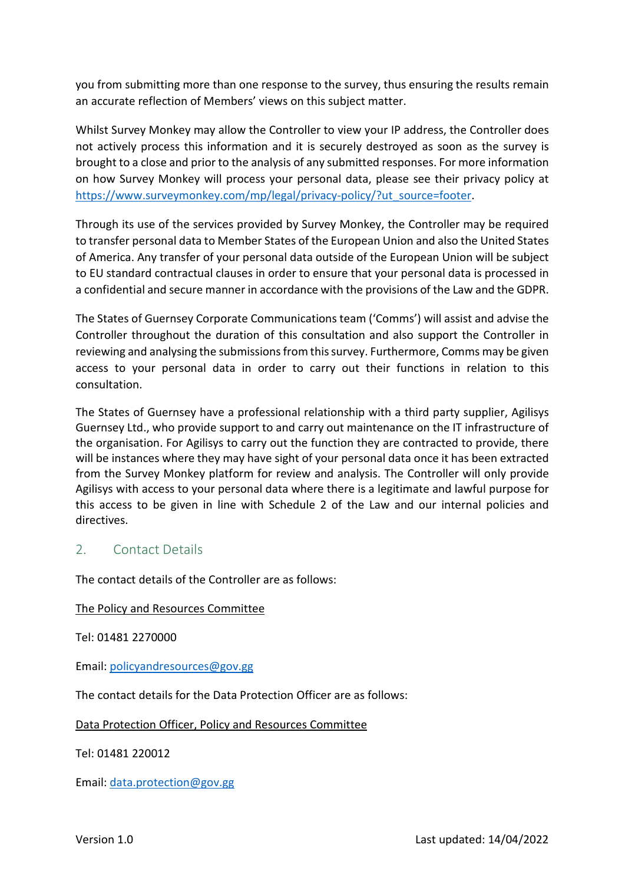you from submitting more than one response to the survey, thus ensuring the results remain an accurate reflection of Members' views on this subject matter.

Whilst Survey Monkey may allow the Controller to view your IP address, the Controller does not actively process this information and it is securely destroyed as soon as the survey is brought to a close and prior to the analysis of any submitted responses. For more information on how Survey Monkey will process your personal data, please see their privacy policy at https://www.surveymonkey.com/mp/legal/privacy-policy/?ut\_source=footer.

Through its use of the services provided by Survey Monkey, the Controller may be required to transfer personal data to Member States of the European Union and also the United States of America. Any transfer of your personal data outside of the European Union will be subject to EU standard contractual clauses in order to ensure that your personal data is processed in a confidential and secure manner in accordance with the provisions of the Law and the GDPR.

The States of Guernsey Corporate Communications team ('Comms') will assist and advise the Controller throughout the duration of this consultation and also support the Controller in reviewing and analysing the submissions from this survey. Furthermore, Comms may be given access to your personal data in order to carry out their functions in relation to this consultation.

The States of Guernsey have a professional relationship with a third party supplier, Agilisys Guernsey Ltd., who provide support to and carry out maintenance on the IT infrastructure of the organisation. For Agilisys to carry out the function they are contracted to provide, there will be instances where they may have sight of your personal data once it has been extracted from the Survey Monkey platform for review and analysis. The Controller will only provide Agilisys with access to your personal data where there is a legitimate and lawful purpose for this access to be given in line with Schedule 2 of the Law and our internal policies and directives.

### 2. Contact Details

The contact details of the Controller are as follows:

#### The Policy and Resources Committee

Tel: 01481 2270000

Email: policyandresources@gov.gg

The contact details for the Data Protection Officer are as follows:

#### Data Protection Officer, Policy and Resources Committee

Tel: 01481 220012

Email: data.protection@gov.gg